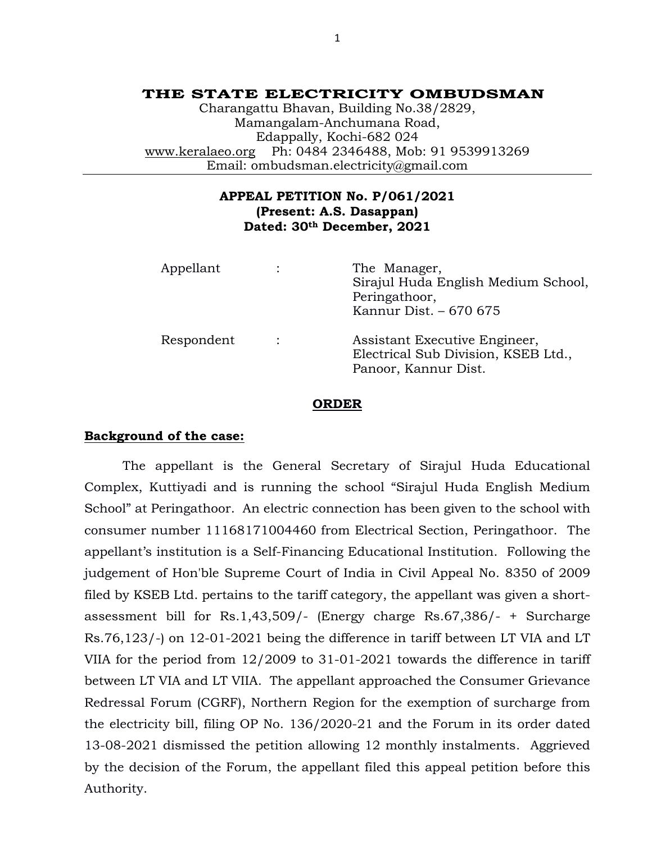# **THE STATE ELECTRICITY OMBUDSMAN**

Charangattu Bhavan, Building No.38/2829, Mamangalam-Anchumana Road, Edappally, Kochi-682 024 [www.keralaeo.org](http://www.keralaeo.org/) Ph: 0484 2346488, Mob: 91 9539913269 Email: ombudsman.electricity@gmail.com

# **APPEAL PETITION No. P/061/2021 (Present: A.S. Dasappan) Dated: 30th December, 2021**

| Appellant  |                | The Manager,<br>Sirajul Huda English Medium School,<br>Peringathoor,<br>Kannur Dist. - 670 675 |
|------------|----------------|------------------------------------------------------------------------------------------------|
| Respondent | $\ddot{\cdot}$ | Assistant Executive Engineer,<br>Electrical Sub Division, KSEB Ltd.,<br>Panoor, Kannur Dist.   |

#### **ORDER**

## **Background of the case:**

The appellant is the General Secretary of Sirajul Huda Educational Complex, Kuttiyadi and is running the school "Sirajul Huda English Medium School" at Peringathoor. An electric connection has been given to the school with consumer number 11168171004460 from Electrical Section, Peringathoor. The appellant's institution is a Self-Financing Educational Institution. Following the judgement of Hon'ble Supreme Court of India in Civil Appeal No. 8350 of 2009 filed by KSEB Ltd. pertains to the tariff category, the appellant was given a shortassessment bill for Rs.1,43,509/- (Energy charge Rs.67,386/- + Surcharge Rs.76,123/-) on 12-01-2021 being the difference in tariff between LT VIA and LT VIIA for the period from 12/2009 to 31-01-2021 towards the difference in tariff between LT VIA and LT VIIA. The appellant approached the Consumer Grievance Redressal Forum (CGRF), Northern Region for the exemption of surcharge from the electricity bill, filing OP No. 136/2020-21 and the Forum in its order dated 13-08-2021 dismissed the petition allowing 12 monthly instalments. Aggrieved by the decision of the Forum, the appellant filed this appeal petition before this Authority.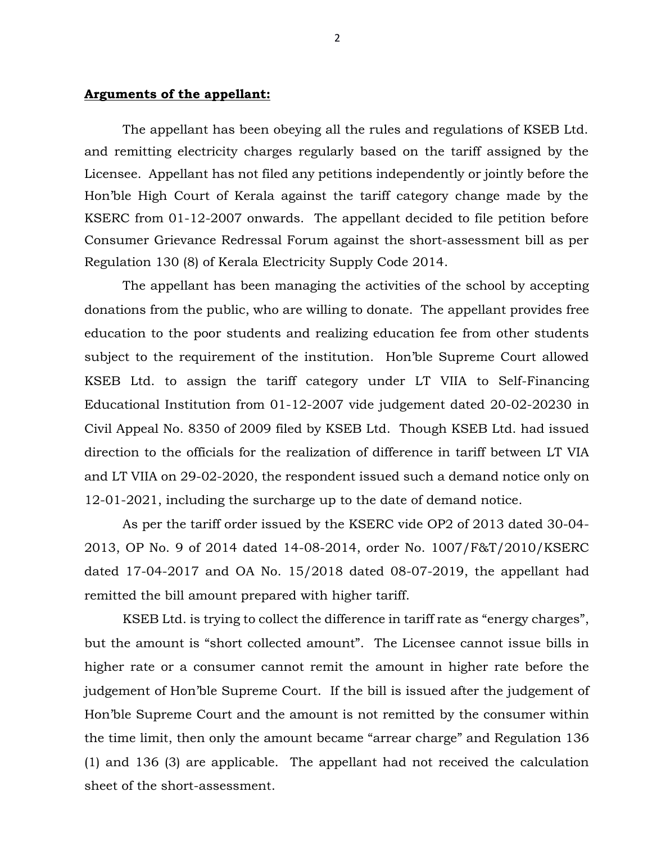# **Arguments of the appellant:**

The appellant has been obeying all the rules and regulations of KSEB Ltd. and remitting electricity charges regularly based on the tariff assigned by the Licensee. Appellant has not filed any petitions independently or jointly before the Hon'ble High Court of Kerala against the tariff category change made by the KSERC from 01-12-2007 onwards. The appellant decided to file petition before Consumer Grievance Redressal Forum against the short-assessment bill as per Regulation 130 (8) of Kerala Electricity Supply Code 2014.

The appellant has been managing the activities of the school by accepting donations from the public, who are willing to donate. The appellant provides free education to the poor students and realizing education fee from other students subject to the requirement of the institution. Hon'ble Supreme Court allowed KSEB Ltd. to assign the tariff category under LT VIIA to Self-Financing Educational Institution from 01-12-2007 vide judgement dated 20-02-20230 in Civil Appeal No. 8350 of 2009 filed by KSEB Ltd. Though KSEB Ltd. had issued direction to the officials for the realization of difference in tariff between LT VIA and LT VIIA on 29-02-2020, the respondent issued such a demand notice only on 12-01-2021, including the surcharge up to the date of demand notice.

As per the tariff order issued by the KSERC vide OP2 of 2013 dated 30-04- 2013, OP No. 9 of 2014 dated 14-08-2014, order No. 1007/F&T/2010/KSERC dated 17-04-2017 and OA No. 15/2018 dated 08-07-2019, the appellant had remitted the bill amount prepared with higher tariff.

KSEB Ltd. is trying to collect the difference in tariff rate as "energy charges", but the amount is "short collected amount". The Licensee cannot issue bills in higher rate or a consumer cannot remit the amount in higher rate before the judgement of Hon'ble Supreme Court. If the bill is issued after the judgement of Hon'ble Supreme Court and the amount is not remitted by the consumer within the time limit, then only the amount became "arrear charge" and Regulation 136 (1) and 136 (3) are applicable. The appellant had not received the calculation sheet of the short-assessment.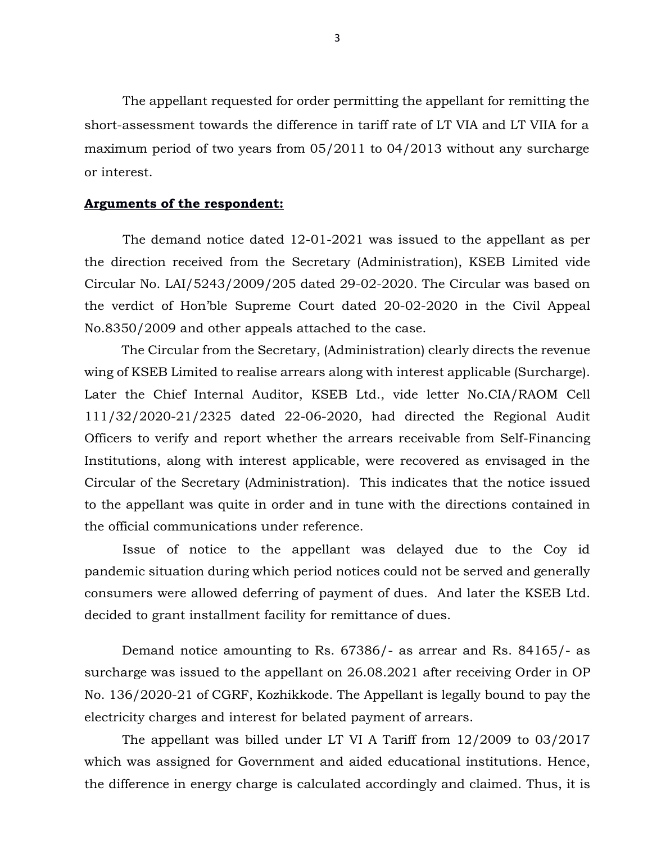The appellant requested for order permitting the appellant for remitting the short-assessment towards the difference in tariff rate of LT VIA and LT VIIA for a maximum period of two years from 05/2011 to 04/2013 without any surcharge or interest.

## **Arguments of the respondent:**

The demand notice dated 12-01-2021 was issued to the appellant as per the direction received from the Secretary (Administration), KSEB Limited vide Circular No. LAI/5243/2009/205 dated 29-02-2020. The Circular was based on the verdict of Hon'ble Supreme Court dated 20-02-2020 in the Civil Appeal No.8350/2009 and other appeals attached to the case.

The Circular from the Secretary, (Administration) clearly directs the revenue wing of KSEB Limited to realise arrears along with interest applicable (Surcharge). Later the Chief Internal Auditor, KSEB Ltd., vide letter No.CIA/RAOM Cell 111/32/2020-21/2325 dated 22-06-2020, had directed the Regional Audit Officers to verify and report whether the arrears receivable from Self-Financing Institutions, along with interest applicable, were recovered as envisaged in the Circular of the Secretary (Administration). This indicates that the notice issued to the appellant was quite in order and in tune with the directions contained in the official communications under reference.

Issue of notice to the appellant was delayed due to the Coy id pandemic situation during which period notices could not be served and generally consumers were allowed deferring of payment of dues. And later the KSEB Ltd. decided to grant installment facility for remittance of dues.

Demand notice amounting to Rs. 67386/- as arrear and Rs. 84165/- as surcharge was issued to the appellant on 26.08.2021 after receiving Order in OP No. 136/2020-21 of CGRF, Kozhikkode. The Appellant is legally bound to pay the electricity charges and interest for belated payment of arrears.

The appellant was billed under LT VI A Tariff from 12/2009 to 03/2017 which was assigned for Government and aided educational institutions. Hence, the difference in energy charge is calculated accordingly and claimed. Thus, it is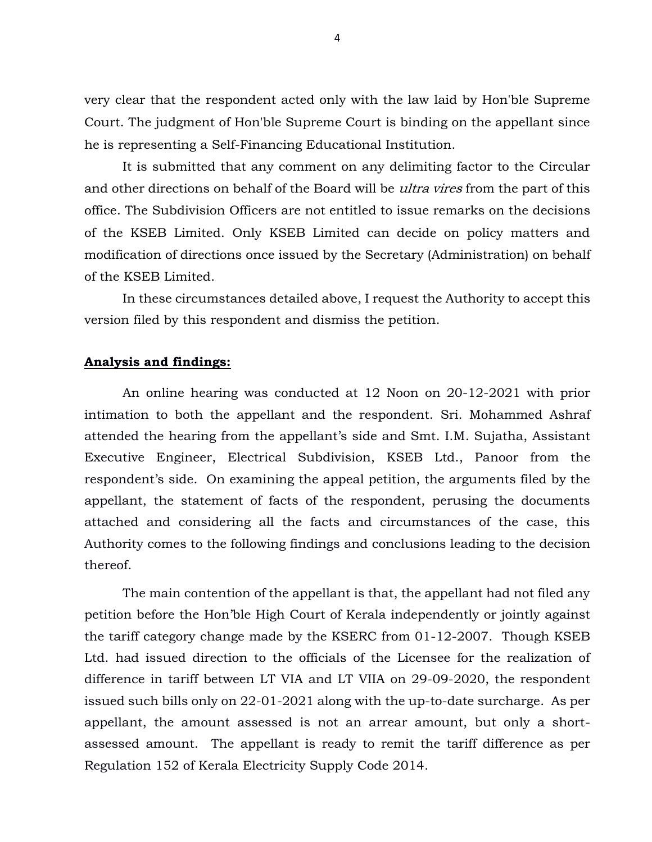very clear that the respondent acted only with the law laid by Hon'ble Supreme Court. The judgment of Hon'ble Supreme Court is binding on the appellant since he is representing a Self-Financing Educational Institution.

It is submitted that any comment on any delimiting factor to the Circular and other directions on behalf of the Board will be *ultra vires* from the part of this office. The Subdivision Officers are not entitled to issue remarks on the decisions of the KSEB Limited. Only KSEB Limited can decide on policy matters and modification of directions once issued by the Secretary (Administration) on behalf of the KSEB Limited.

In these circumstances detailed above, I request the Authority to accept this version filed by this respondent and dismiss the petition.

## **Analysis and findings:**

An online hearing was conducted at 12 Noon on 20-12-2021 with prior intimation to both the appellant and the respondent. Sri. Mohammed Ashraf attended the hearing from the appellant's side and Smt. I.M. Sujatha, Assistant Executive Engineer, Electrical Subdivision, KSEB Ltd., Panoor from the respondent's side. On examining the appeal petition, the arguments filed by the appellant, the statement of facts of the respondent, perusing the documents attached and considering all the facts and circumstances of the case, this Authority comes to the following findings and conclusions leading to the decision thereof.

The main contention of the appellant is that, the appellant had not filed any petition before the Hon'ble High Court of Kerala independently or jointly against the tariff category change made by the KSERC from 01-12-2007. Though KSEB Ltd. had issued direction to the officials of the Licensee for the realization of difference in tariff between LT VIA and LT VIIA on 29-09-2020, the respondent issued such bills only on 22-01-2021 along with the up-to-date surcharge. As per appellant, the amount assessed is not an arrear amount, but only a shortassessed amount. The appellant is ready to remit the tariff difference as per Regulation 152 of Kerala Electricity Supply Code 2014.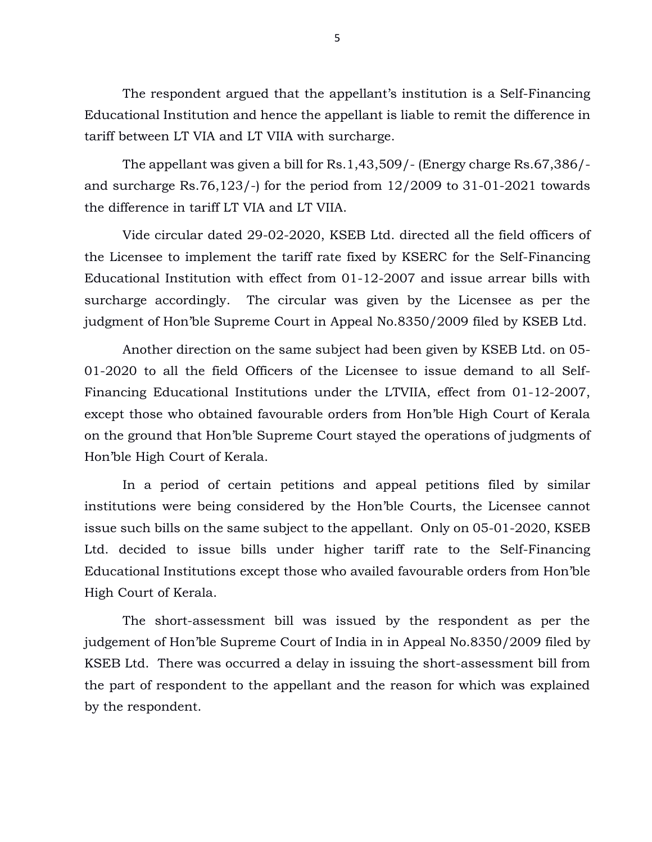The respondent argued that the appellant's institution is a Self-Financing Educational Institution and hence the appellant is liable to remit the difference in tariff between LT VIA and LT VIIA with surcharge.

The appellant was given a bill for Rs.1,43,509/- (Energy charge Rs.67,386/ and surcharge Rs.76,123/-) for the period from  $12/2009$  to  $31-01-2021$  towards the difference in tariff LT VIA and LT VIIA.

Vide circular dated 29-02-2020, KSEB Ltd. directed all the field officers of the Licensee to implement the tariff rate fixed by KSERC for the Self-Financing Educational Institution with effect from 01-12-2007 and issue arrear bills with surcharge accordingly. The circular was given by the Licensee as per the judgment of Hon'ble Supreme Court in Appeal No.8350/2009 filed by KSEB Ltd.

Another direction on the same subject had been given by KSEB Ltd. on 05- 01-2020 to all the field Officers of the Licensee to issue demand to all Self-Financing Educational Institutions under the LTVIIA, effect from 01-12-2007, except those who obtained favourable orders from Hon'ble High Court of Kerala on the ground that Hon'ble Supreme Court stayed the operations of judgments of Hon'ble High Court of Kerala.

In a period of certain petitions and appeal petitions filed by similar institutions were being considered by the Hon'ble Courts, the Licensee cannot issue such bills on the same subject to the appellant. Only on 05-01-2020, KSEB Ltd. decided to issue bills under higher tariff rate to the Self-Financing Educational Institutions except those who availed favourable orders from Hon'ble High Court of Kerala.

The short-assessment bill was issued by the respondent as per the judgement of Hon'ble Supreme Court of India in in Appeal No.8350/2009 filed by KSEB Ltd. There was occurred a delay in issuing the short-assessment bill from the part of respondent to the appellant and the reason for which was explained by the respondent.